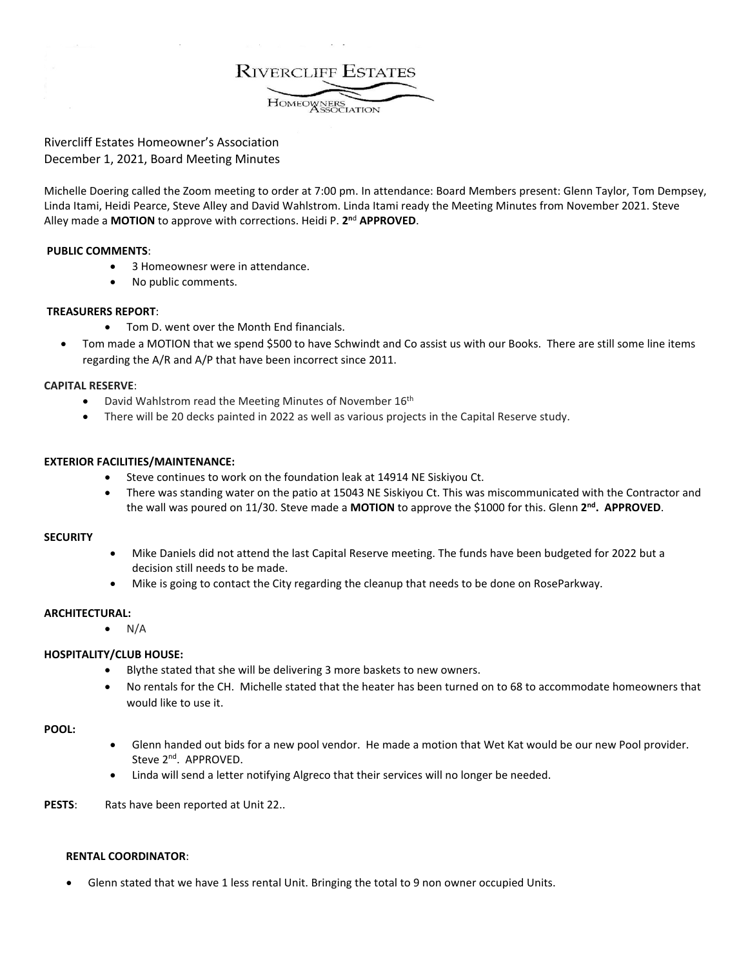**RIVERCLIFF ESTATES** HOMEOWNERS

Rivercliff Estates Homeowner's Association December 1, 2021, Board Meeting Minutes

Michelle Doering called the Zoom meeting to order at 7:00 pm. In attendance: Board Members present: Glenn Taylor, Tom Dempsey, Linda Itami, Heidi Pearce, Steve Alley and David Wahlstrom. Linda Itami ready the Meeting Minutes from November 2021. Steve Alley made a **MOTION** to approve with corrections. Heidi P. **2n**<sup>d</sup> **APPROVED**.

# **PUBLIC COMMENTS**:

- 3 Homeownesr were in attendance.
- No public comments.

## **TREASURERS REPORT**:

- Tom D. went over the Month End financials.
- Tom made a MOTION that we spend \$500 to have Schwindt and Co assist us with our Books. There are still some line items regarding the A/R and A/P that have been incorrect since 2011.

## **CAPITAL RESERVE**:

- David Wahlstrom read the Meeting Minutes of November 16<sup>th</sup>
- There will be 20 decks painted in 2022 as well as various projects in the Capital Reserve study.

## **EXTERIOR FACILITIES/MAINTENANCE:**

- Steve continues to work on the foundation leak at 14914 NE Siskiyou Ct.
- There was standing water on the patio at 15043 NE Siskiyou Ct. This was miscommunicated with the Contractor and the wall was poured on 11/30. Steve made a **MOTION** to approve the \$1000 for this. Glenn **2nd. APPROVED**.

## **SECURITY**

- Mike Daniels did not attend the last Capital Reserve meeting. The funds have been budgeted for 2022 but a decision still needs to be made.
- Mike is going to contact the City regarding the cleanup that needs to be done on RoseParkway.

#### **ARCHITECTURAL:**

 $\bullet$  N/A

# **HOSPITALITY/CLUB HOUSE:**

- Blythe stated that she will be delivering 3 more baskets to new owners.
- No rentals for the CH. Michelle stated that the heater has been turned on to 68 to accommodate homeowners that would like to use it.

#### **POOL:**

- Glenn handed out bids for a new pool vendor. He made a motion that Wet Kat would be our new Pool provider. Steve 2<sup>nd</sup>. APPROVED.
- Linda will send a letter notifying Algreco that their services will no longer be needed.

PESTS: Rats have been reported at Unit 22..

#### **RENTAL COORDINATOR**:

• Glenn stated that we have 1 less rental Unit. Bringing the total to 9 non owner occupied Units.